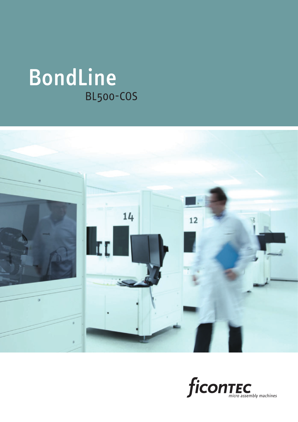# BondLine BL500-COS



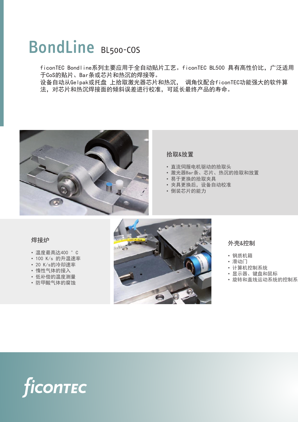## BondLine BL500-COS

ficonTEC Bondline系列主要应用于全自动贴片工艺。ficonTEC BL500 具有高性价比,广泛适用 于CoS的贴片、Bar条或芯片和热沉的焊接等。

设备自动从Gelpak或托盘 上拾取激光器芯片和热沉, 调角仪配合ficonTEC功能强大的软件算 法,对芯片和热沉焊接面的倾斜误差进行校准,可延长最终产品的寿命。



#### 拾取&放置

- 直流伺服电机驱动的拾取头
- 激光器Bar条、芯片、热沉的拾取和放置
- 易于更换的拾取夹具
- 夹具更换后,设备自动校准
- 倒装芯片的能力

### 焊接炉

- 温度最高达400 °C
- 100 K/s 的升温速率
- 20 K/s的冷却速率
- 惰性气体的接入
- 低补偿的温度测量
- 防甲酸气体的腐蚀



#### 外壳&控制

- 钢质机箱
- 滑动门
- 计算机控制系统
- 显示器、键盘和鼠标
- 旋转和直线运动系统的控制系

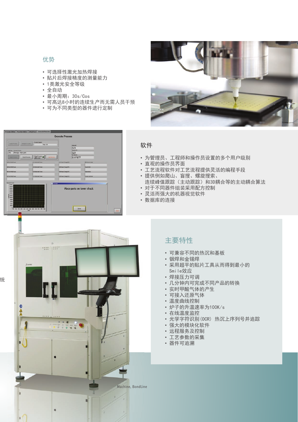### 优势

- 可选择性激光加热焊接
- 贴片后焊接精度的测量能力
- 1类激光安全等级
- 全自动
- 最小周期:30s/Cos
- 可高达8小时的连续生产而无需人员干预
- 可为不同类型的器件进行定制



## Execute Process Pones Pertat Proces Phones Man. 03 软件  $\frac{1}{123}$  $\frac{3444}{123}$  $\frac{125}{21171277}$  $\begin{array}{|c|c|c|c|}\hline \text{Sup}}\text{frozen}&\textbf{0} \\\hline \text{div} \text{loop} & \textbf{0}\end{array}$ Place parts on lower chuck nos josti 统 DA ſ п, Machine, BondLine

- 为管理员、工程师和操作员设置的多个用户级别
- 直观的操作员界面
- 工艺流程软件对工艺流程提供灵活的编程手段
- 提供例如爬山、盲搜、螺旋搜索、
- 连续峰值跟踪(主动跟踪)和3D耦合等的主动耦合算法
- 对于不同器件组装采用配方控制
- 灵活而强大的机器视觉软件
- 数据库的连接

## 主要特性

- 可兼容不同的热沉和基板
- 铟焊和金锡焊
- 采用超平的贴片工具从而得到最小的 Smile效应
- 焊接压力可调
- 几分钟内可完成不同产品的转换
- 实时甲酸气体的产生
- 可接入还原气体
- 温度曲线控制
- 炉子的升温速率为100K/s
- 在线温度监控
- 光学字符识别(OCR) 热沉上序列号并追踪
- 强大的模块化软件
- 远程服务及控制
- 工艺参数的采集
- 器件可追溯